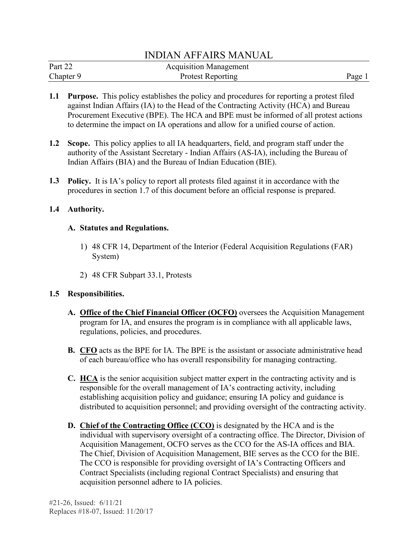## INDIAN AFFAIRS MANUAL

| Part 22   | <b>Acquisition Management</b> |        |
|-----------|-------------------------------|--------|
| Chapter 9 | <b>Protest Reporting</b>      | Page 1 |

- **1.1 Purpose.** This policy establishes the policy and procedures for reporting a protest filed against Indian Affairs (IA) to the Head of the Contracting Activity (HCA) and Bureau Procurement Executive (BPE). The HCA and BPE must be informed of all protest actions to determine the impact on IA operations and allow for a unified course of action.
- **1.2 Scope.** This policy applies to all IA headquarters, field, and program staff under the authority of the Assistant Secretary - Indian Affairs (AS-IA), including the Bureau of Indian Affairs (BIA) and the Bureau of Indian Education (BIE).
- **1.3 Policy.** It is IA's policy to report all protests filed against it in accordance with the procedures in section 1.7 of this document before an official response is prepared.

#### **1.4 Authority.**

#### **A. Statutes and Regulations.**

- 1) 48 CFR 14, Department of the Interior (Federal Acquisition Regulations (FAR) System)
- 2) 48 CFR Subpart 33.1, Protests

### **1.5 Responsibilities.**

- **A. Office of the Chief Financial Officer (OCFO)** oversees the Acquisition Management program for IA, and ensures the program is in compliance with all applicable laws, regulations, policies, and procedures.
- **B. CFO** acts as the BPE for IA. The BPE is the assistant or associate administrative head of each bureau/office who has overall responsibility for managing contracting.
- **C. HCA** is the senior acquisition subject matter expert in the contracting activity and is responsible for the overall management of IA's contracting activity, including establishing acquisition policy and guidance; ensuring IA policy and guidance is distributed to acquisition personnel; and providing oversight of the contracting activity.
- **D. Chief of the Contracting Office (CCO)** is designated by the HCA and is the individual with supervisory oversight of a contracting office. The Director, Division of Acquisition Management, OCFO serves as the CCO for the AS-IA offices and BIA. The Chief, Division of Acquisition Management, BIE serves as the CCO for the BIE. The CCO is responsible for providing oversight of IA's Contracting Officers and Contract Specialists (including regional Contract Specialists) and ensuring that acquisition personnel adhere to IA policies.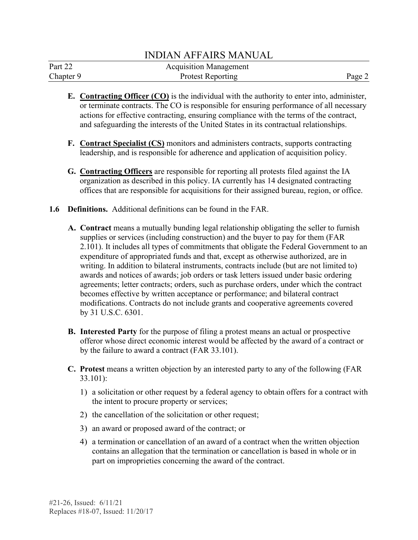### INDIAN AFFAIRS MANUAL

| Part 22   | <b>Acquisition Management</b> |        |
|-----------|-------------------------------|--------|
| Chapter 9 | <b>Protest Reporting</b>      | Page 2 |

- **E. Contracting Officer (CO)** is the individual with the authority to enter into, administer, or terminate contracts. The CO is responsible for ensuring performance of all necessary actions for effective contracting, ensuring compliance with the terms of the contract, and safeguarding the interests of the United States in its contractual relationships.
- **F. Contract Specialist (CS)** monitors and administers contracts, supports contracting leadership, and is responsible for adherence and application of acquisition policy.
- **G. Contracting Officers** are responsible for reporting all protests filed against the IA organization as described in this policy. IA currently has 14 designated contracting offices that are responsible for acquisitions for their assigned bureau, region, or office.
- **1.6 Definitions.** Additional definitions can be found in the FAR.
	- **A. Contract** means a mutually bunding legal relationship obligating the seller to furnish supplies or services (including construction) and the buyer to pay for them (FAR 2.101). It includes all types of commitments that obligate the Federal Government to an expenditure of appropriated funds and that, except as otherwise authorized, are in writing. In addition to bilateral instruments, contracts include (but are not limited to) awards and notices of awards; job orders or task letters issued under basic ordering agreements; letter contracts; orders, such as purchase orders, under which the contract becomes effective by written acceptance or performance; and bilateral contract modifications. Contracts do not include grants and cooperative agreements covered by [31 U.S.C. 6301.](http://uscode.house.gov/browse.xhtml;jsessionid=114A3287C7B3359E597506A31FC855B3)
	- **B. Interested Party** for the purpose of filing a protest means an actual or prospective offeror whose direct economic interest would be affected by the award of a contract or by the failure to award a contract (FAR 33.101).
	- **C. Protest** means a written objection by an interested party to any of the following (FAR 33.101):
		- 1) a solicitation or other request by a federal agency to obtain offers for a contract with the intent to procure property or services;
		- 2) the cancellation of the solicitation or other request;
		- 3) an award or proposed award of the contract; or
		- 4) a termination or cancellation of an award of a contract when the written objection contains an allegation that the termination or cancellation is based in whole or in part on improprieties concerning the award of the contract.